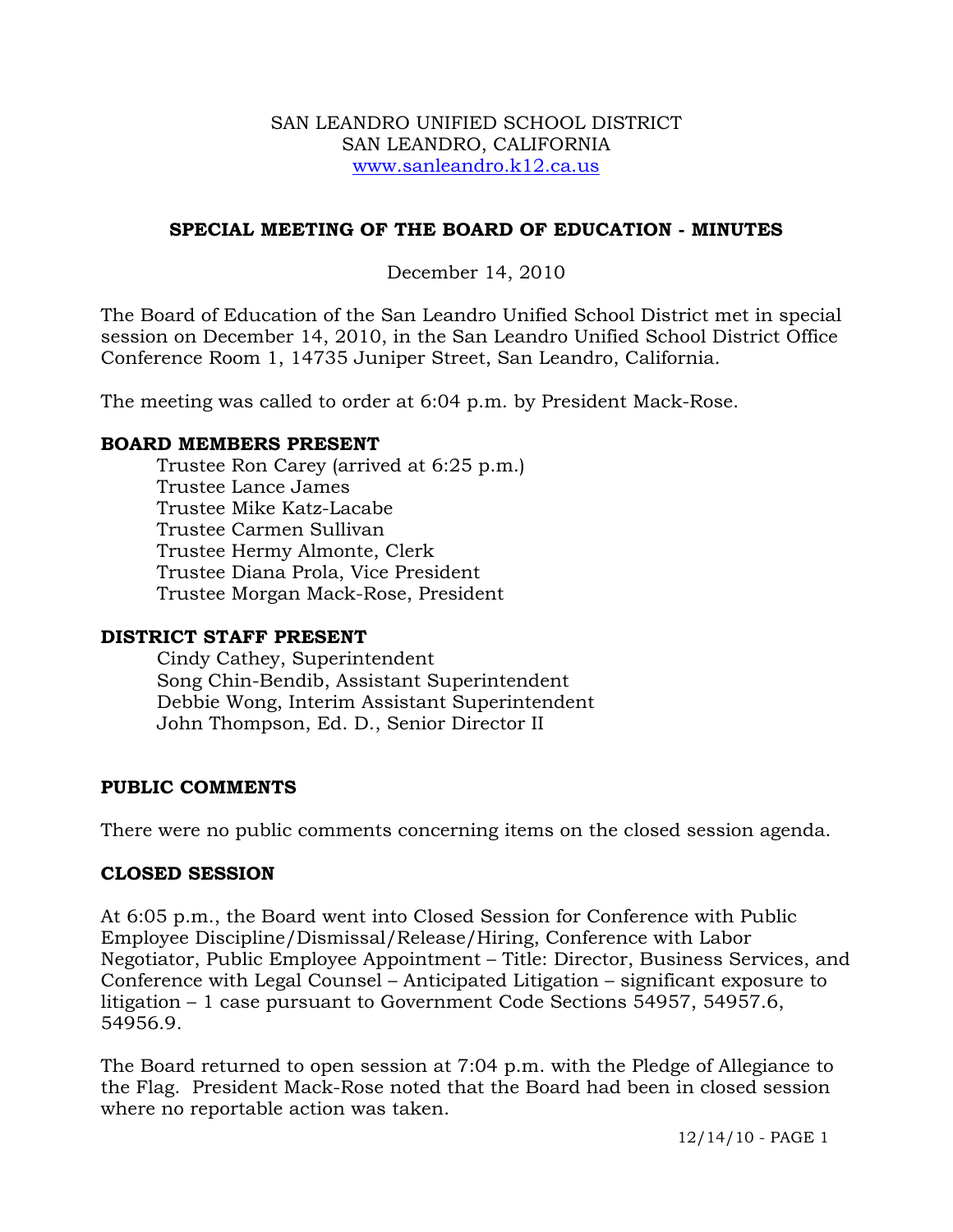#### SAN LEANDRO UNIFIED SCHOOL DISTRICT SAN LEANDRO, CALIFORNIA www.sanleandro.k12.ca.us

## **SPECIAL MEETING OF THE BOARD OF EDUCATION - MINUTES**

## December 14, 2010

The Board of Education of the San Leandro Unified School District met in special session on December 14, 2010, in the San Leandro Unified School District Office Conference Room 1, 14735 Juniper Street, San Leandro, California.

The meeting was called to order at 6:04 p.m. by President Mack-Rose.

### **BOARD MEMBERS PRESENT**

Trustee Ron Carey (arrived at 6:25 p.m.) Trustee Lance James Trustee Mike Katz-Lacabe Trustee Carmen Sullivan Trustee Hermy Almonte, Clerk Trustee Diana Prola, Vice President Trustee Morgan Mack-Rose, President

#### **DISTRICT STAFF PRESENT**

Cindy Cathey, Superintendent Song Chin-Bendib, Assistant Superintendent Debbie Wong, Interim Assistant Superintendent John Thompson, Ed. D., Senior Director II

### **PUBLIC COMMENTS**

There were no public comments concerning items on the closed session agenda.

### **CLOSED SESSION**

At 6:05 p.m., the Board went into Closed Session for Conference with Public Employee Discipline/Dismissal/Release/Hiring, Conference with Labor Negotiator, Public Employee Appointment – Title: Director, Business Services, and Conference with Legal Counsel – Anticipated Litigation – significant exposure to litigation – 1 case pursuant to Government Code Sections 54957, 54957.6, 54956.9.

The Board returned to open session at 7:04 p.m. with the Pledge of Allegiance to the Flag. President Mack-Rose noted that the Board had been in closed session where no reportable action was taken.

12/14/10 - PAGE 1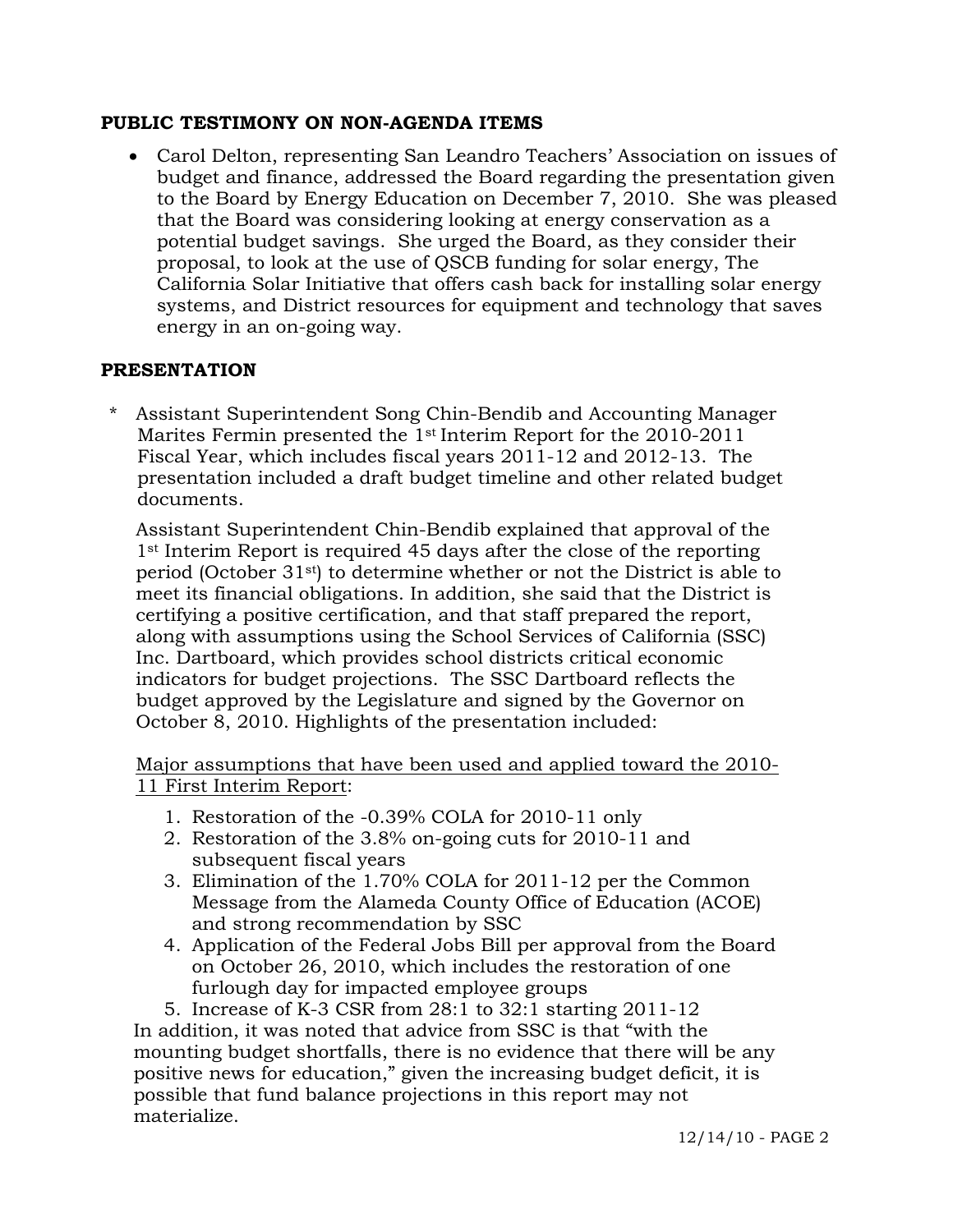### **PUBLIC TESTIMONY ON NON-AGENDA ITEMS**

 Carol Delton, representing San Leandro Teachers' Association on issues of budget and finance, addressed the Board regarding the presentation given to the Board by Energy Education on December 7, 2010. She was pleased that the Board was considering looking at energy conservation as a potential budget savings. She urged the Board, as they consider their proposal, to look at the use of QSCB funding for solar energy, The California Solar Initiative that offers cash back for installing solar energy systems, and District resources for equipment and technology that saves energy in an on-going way.

### **PRESENTATION**

Assistant Superintendent Song Chin-Bendib and Accounting Manager Marites Fermin presented the 1st Interim Report for the 2010-2011 Fiscal Year, which includes fiscal years 2011-12 and 2012-13. The presentation included a draft budget timeline and other related budget documents.

 Assistant Superintendent Chin-Bendib explained that approval of the 1st Interim Report is required 45 days after the close of the reporting period (October  $31<sup>st</sup>$ ) to determine whether or not the District is able to meet its financial obligations. In addition, she said that the District is certifying a positive certification, and that staff prepared the report, along with assumptions using the School Services of California (SSC) Inc. Dartboard, which provides school districts critical economic indicators for budget projections. The SSC Dartboard reflects the budget approved by the Legislature and signed by the Governor on October 8, 2010. Highlights of the presentation included:

Major assumptions that have been used and applied toward the 2010- 11 First Interim Report:

- 1. Restoration of the -0.39% COLA for 2010-11 only
- 2. Restoration of the 3.8% on-going cuts for 2010-11 and subsequent fiscal years
- 3. Elimination of the 1.70% COLA for 2011-12 per the Common Message from the Alameda County Office of Education (ACOE) and strong recommendation by SSC
- 4. Application of the Federal Jobs Bill per approval from the Board on October 26, 2010, which includes the restoration of one furlough day for impacted employee groups
- 5. Increase of K-3 CSR from 28:1 to 32:1 starting 2011-12

 In addition, it was noted that advice from SSC is that "with the mounting budget shortfalls, there is no evidence that there will be any positive news for education," given the increasing budget deficit, it is possible that fund balance projections in this report may not materialize.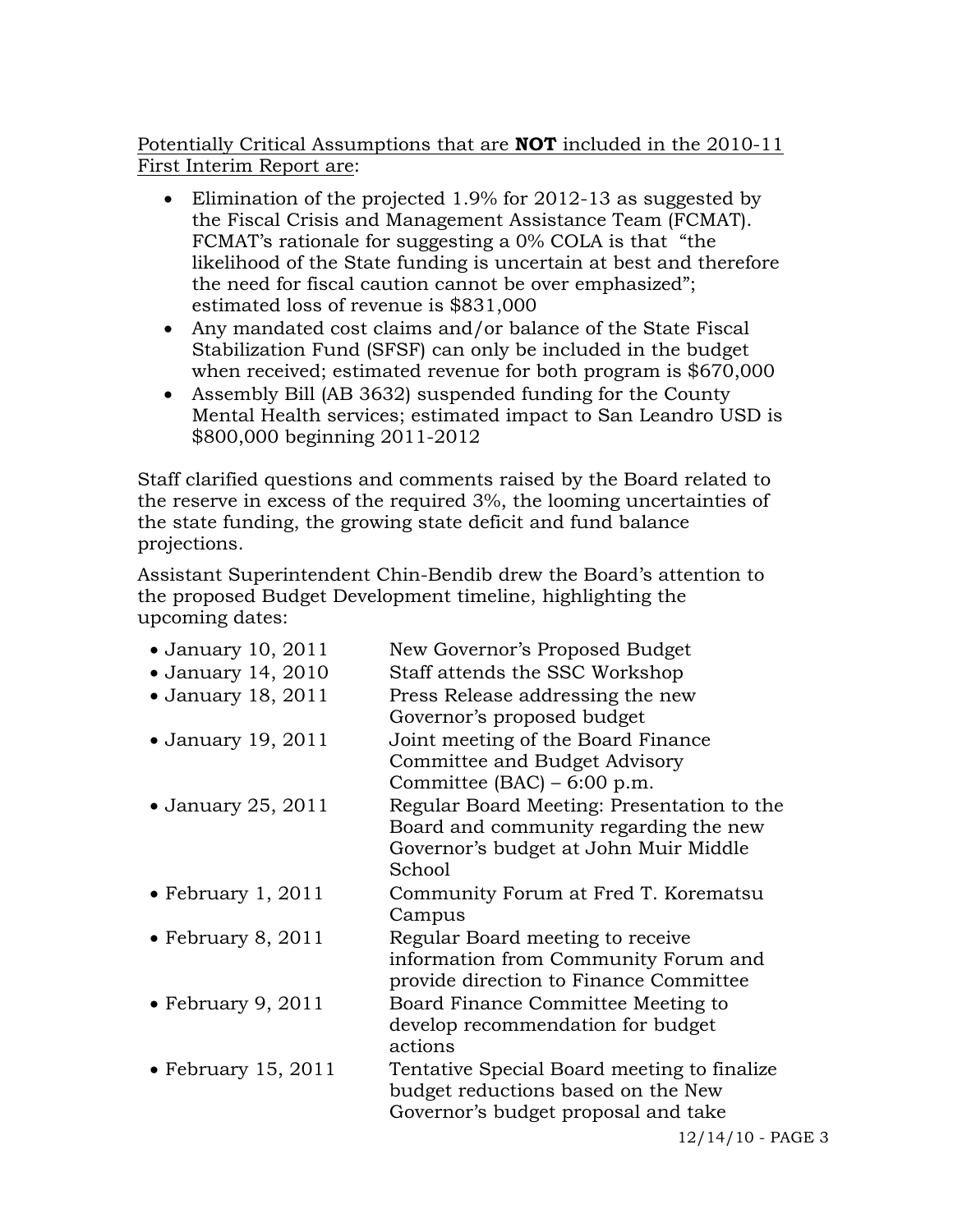Potentially Critical Assumptions that are **NOT** included in the 2010-11 First Interim Report are:

- Elimination of the projected 1.9% for 2012-13 as suggested by the Fiscal Crisis and Management Assistance Team (FCMAT). FCMAT's rationale for suggesting a 0% COLA is that "the likelihood of the State funding is uncertain at best and therefore the need for fiscal caution cannot be over emphasized"; estimated loss of revenue is \$831,000
- Any mandated cost claims and/or balance of the State Fiscal Stabilization Fund (SFSF) can only be included in the budget when received; estimated revenue for both program is \$670,000
- Assembly Bill (AB 3632) suspended funding for the County Mental Health services; estimated impact to San Leandro USD is \$800,000 beginning 2011-2012

 Staff clarified questions and comments raised by the Board related to the reserve in excess of the required 3%, the looming uncertainties of the state funding, the growing state deficit and fund balance projections.

 Assistant Superintendent Chin-Bendib drew the Board's attention to the proposed Budget Development timeline, highlighting the upcoming dates:

| $\bullet$ January 10, 2011 | New Governor's Proposed Budget              |
|----------------------------|---------------------------------------------|
| • January 14, 2010         | Staff attends the SSC Workshop              |
| • January 18, 2011         | Press Release addressing the new            |
|                            | Governor's proposed budget                  |
| • January 19, 2011         | Joint meeting of the Board Finance          |
|                            | Committee and Budget Advisory               |
|                            | Committee $(BAC) - 6:00$ p.m.               |
| $\bullet$ January 25, 2011 | Regular Board Meeting: Presentation to the  |
|                            | Board and community regarding the new       |
|                            | Governor's budget at John Muir Middle       |
|                            | School                                      |
| • February 1, $2011$       | Community Forum at Fred T. Korematsu        |
|                            | Campus                                      |
| • February 8, $2011$       | Regular Board meeting to receive            |
|                            | information from Community Forum and        |
|                            | provide direction to Finance Committee      |
| $\bullet$ February 9, 2011 | Board Finance Committee Meeting to          |
|                            | develop recommendation for budget           |
|                            | actions                                     |
| • February 15, $2011$      | Tentative Special Board meeting to finalize |
|                            | budget reductions based on the New          |
|                            | Governor's budget proposal and take         |
|                            | $12/14/10$ - PAGE 3                         |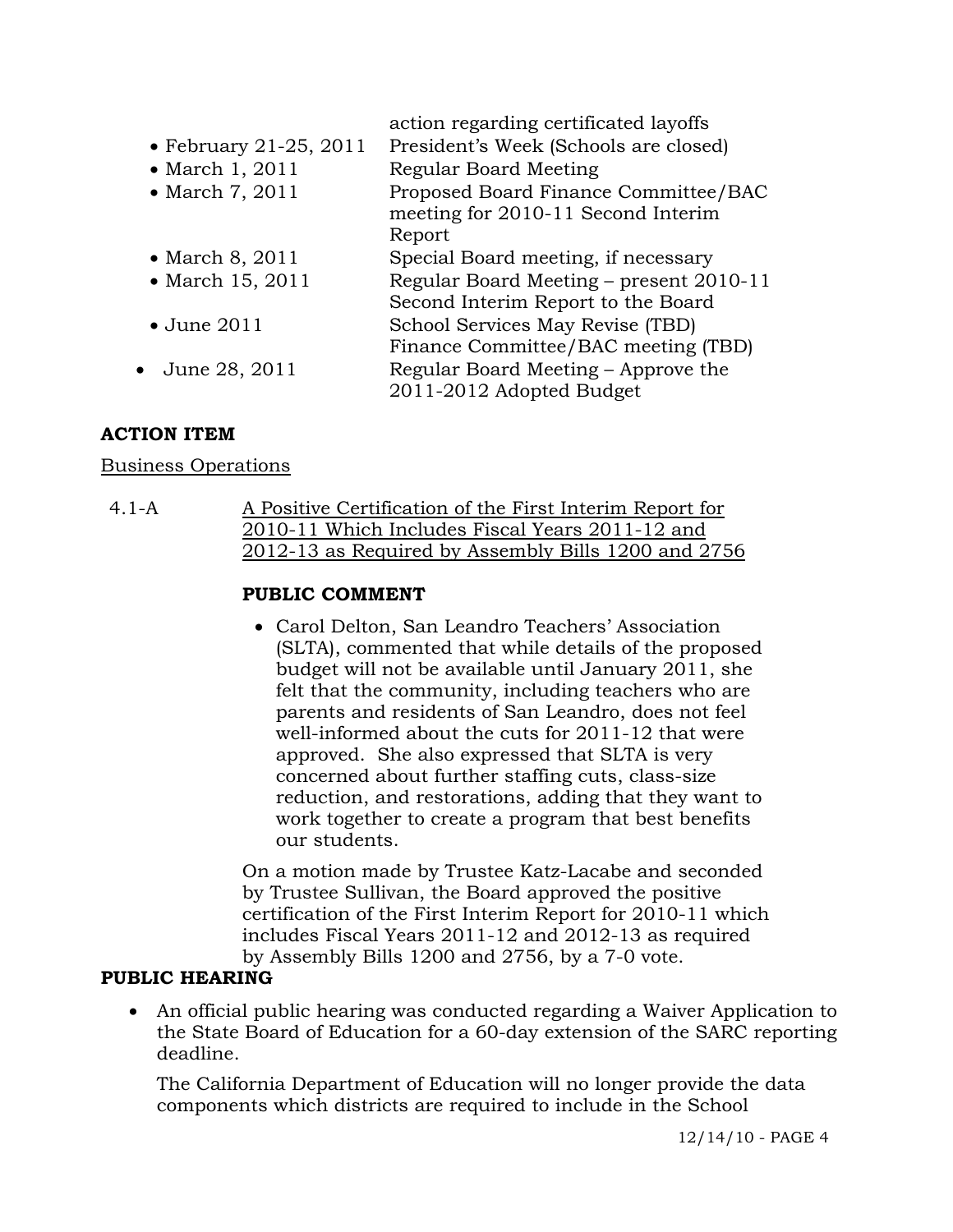|                                | action regarding certificated layoffs                                         |
|--------------------------------|-------------------------------------------------------------------------------|
| $\bullet$ February 21-25, 2011 | President's Week (Schools are closed)                                         |
| • March 1, 2011                | Regular Board Meeting                                                         |
| • March 7, 2011                | Proposed Board Finance Committee/BAC<br>meeting for 2010-11 Second Interim    |
|                                | Report                                                                        |
| $\bullet$ March 8, 2011        | Special Board meeting, if necessary                                           |
| • March 15, 2011               | Regular Board Meeting – present 2010-11<br>Second Interim Report to the Board |
| $\bullet$ June 2011            | School Services May Revise (TBD)                                              |
|                                | Finance Committee/BAC meeting (TBD)                                           |
| $\bullet$ June 28, 2011        | Regular Board Meeting – Approve the                                           |
|                                | 2011-2012 Adopted Budget                                                      |

# **ACTION ITEM**

### Business Operations

4.1-A A Positive Certification of the First Interim Report for 2010-11 Which Includes Fiscal Years 2011-12 and 2012-13 as Required by Assembly Bills 1200 and 2756

# **PUBLIC COMMENT**

 Carol Delton, San Leandro Teachers' Association (SLTA), commented that while details of the proposed budget will not be available until January 2011, she felt that the community, including teachers who are parents and residents of San Leandro, does not feel well-informed about the cuts for 2011-12 that were approved. She also expressed that SLTA is very concerned about further staffing cuts, class-size reduction, and restorations, adding that they want to work together to create a program that best benefits our students.

On a motion made by Trustee Katz-Lacabe and seconded by Trustee Sullivan, the Board approved the positive certification of the First Interim Report for 2010-11 which includes Fiscal Years 2011-12 and 2012-13 as required by Assembly Bills 1200 and 2756, by a 7-0 vote.

### **PUBLIC HEARING**

 An official public hearing was conducted regarding a Waiver Application to the State Board of Education for a 60-day extension of the SARC reporting deadline.

 The California Department of Education will no longer provide the data components which districts are required to include in the School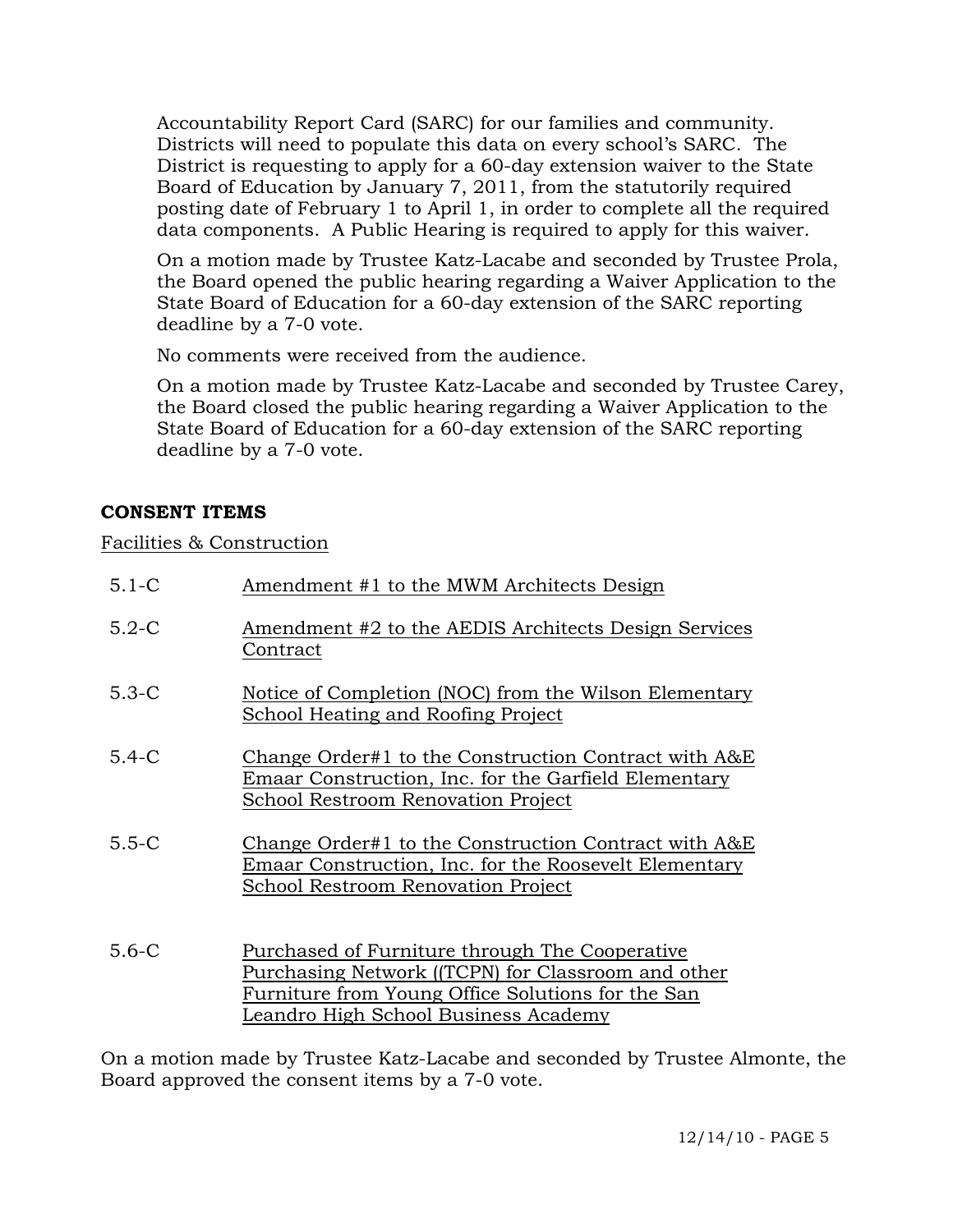Accountability Report Card (SARC) for our families and community. Districts will need to populate this data on every school's SARC. The District is requesting to apply for a 60-day extension waiver to the State Board of Education by January 7, 2011, from the statutorily required posting date of February 1 to April 1, in order to complete all the required data components. A Public Hearing is required to apply for this waiver.

On a motion made by Trustee Katz-Lacabe and seconded by Trustee Prola, the Board opened the public hearing regarding a Waiver Application to the State Board of Education for a 60-day extension of the SARC reporting deadline by a 7-0 vote.

No comments were received from the audience.

On a motion made by Trustee Katz-Lacabe and seconded by Trustee Carey, the Board closed the public hearing regarding a Waiver Application to the State Board of Education for a 60-day extension of the SARC reporting deadline by a 7-0 vote.

# **CONSENT ITEMS**

# Facilities & Construction

| $5.1 - C$ | Amendment #1 to the MWM Architects Design                                                                                                                                                         |
|-----------|---------------------------------------------------------------------------------------------------------------------------------------------------------------------------------------------------|
| $5.2-C$   | Amendment #2 to the AEDIS Architects Design Services<br>Contract                                                                                                                                  |
| $5.3-C$   | Notice of Completion (NOC) from the Wilson Elementary<br><b>School Heating and Roofing Project</b>                                                                                                |
| $5.4-C$   | Change Order#1 to the Construction Contract with A&E<br>Emaar Construction, Inc. for the Garfield Elementary<br>School Restroom Renovation Project                                                |
| $5.5 - C$ | Change Order#1 to the Construction Contract with A&E<br>Emaar Construction, Inc. for the Roosevelt Elementary<br>School Restroom Renovation Project                                               |
| $5.6 - C$ | Purchased of Furniture through The Cooperative<br>Purchasing Network ((TCPN) for Classroom and other<br>Furniture from Young Office Solutions for the San<br>Leandro High School Business Academy |

On a motion made by Trustee Katz-Lacabe and seconded by Trustee Almonte, the Board approved the consent items by a 7-0 vote.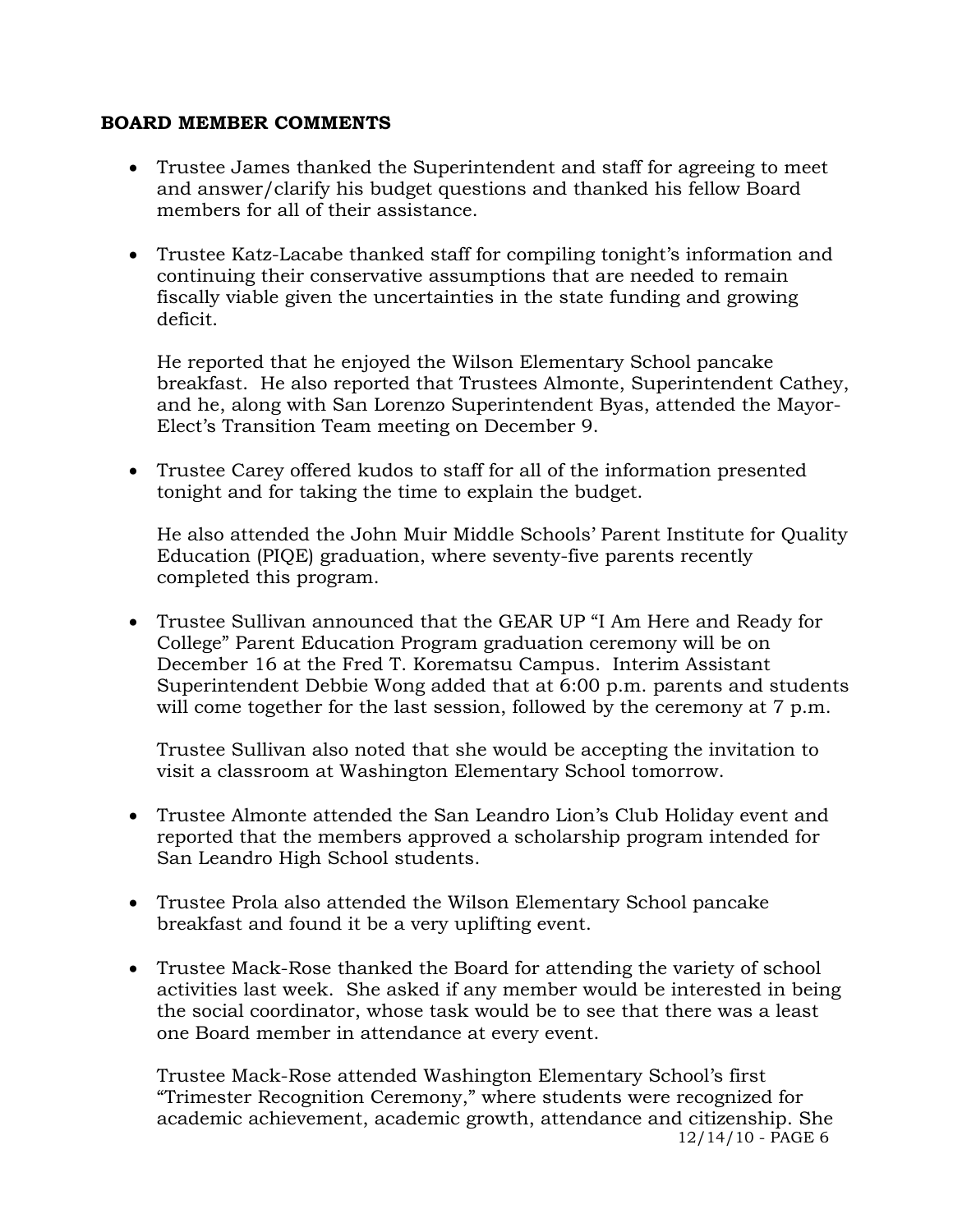#### **BOARD MEMBER COMMENTS**

- Trustee James thanked the Superintendent and staff for agreeing to meet and answer/clarify his budget questions and thanked his fellow Board members for all of their assistance.
- Trustee Katz-Lacabe thanked staff for compiling tonight's information and continuing their conservative assumptions that are needed to remain fiscally viable given the uncertainties in the state funding and growing deficit.

He reported that he enjoyed the Wilson Elementary School pancake breakfast. He also reported that Trustees Almonte, Superintendent Cathey, and he, along with San Lorenzo Superintendent Byas, attended the Mayor-Elect's Transition Team meeting on December 9.

 Trustee Carey offered kudos to staff for all of the information presented tonight and for taking the time to explain the budget.

He also attended the John Muir Middle Schools' Parent Institute for Quality Education (PIQE) graduation, where seventy-five parents recently completed this program.

 Trustee Sullivan announced that the GEAR UP "I Am Here and Ready for College" Parent Education Program graduation ceremony will be on December 16 at the Fred T. Korematsu Campus. Interim Assistant Superintendent Debbie Wong added that at 6:00 p.m. parents and students will come together for the last session, followed by the ceremony at 7 p.m.

Trustee Sullivan also noted that she would be accepting the invitation to visit a classroom at Washington Elementary School tomorrow.

- Trustee Almonte attended the San Leandro Lion's Club Holiday event and reported that the members approved a scholarship program intended for San Leandro High School students.
- Trustee Prola also attended the Wilson Elementary School pancake breakfast and found it be a very uplifting event.
- Trustee Mack-Rose thanked the Board for attending the variety of school activities last week. She asked if any member would be interested in being the social coordinator, whose task would be to see that there was a least one Board member in attendance at every event.

12/14/10 - PAGE 6 Trustee Mack-Rose attended Washington Elementary School's first "Trimester Recognition Ceremony," where students were recognized for academic achievement, academic growth, attendance and citizenship. She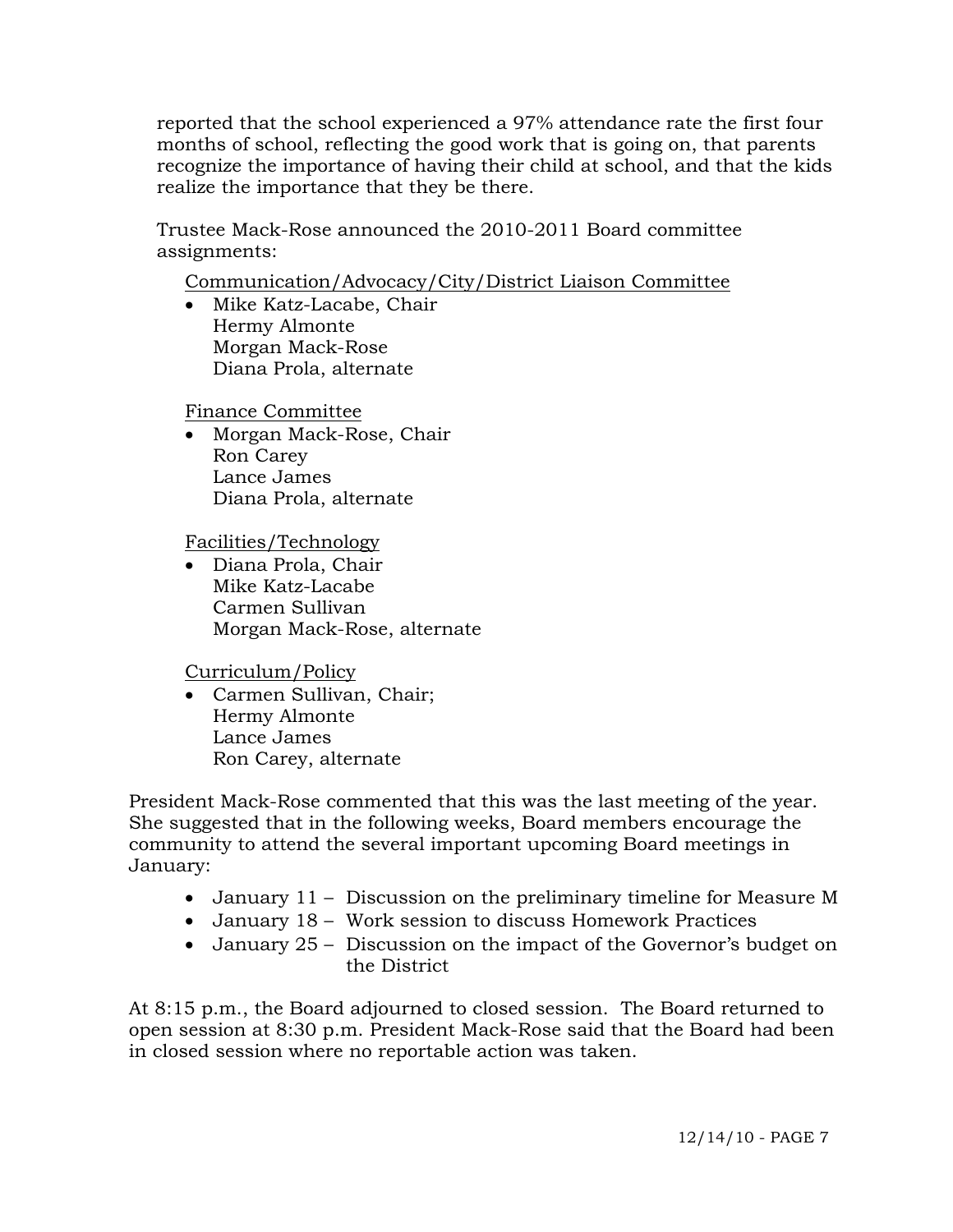reported that the school experienced a 97% attendance rate the first four months of school, reflecting the good work that is going on, that parents recognize the importance of having their child at school, and that the kids realize the importance that they be there.

Trustee Mack-Rose announced the 2010-2011 Board committee assignments:

Communication/Advocacy/City/District Liaison Committee

• Mike Katz-Lacabe, Chair Hermy Almonte Morgan Mack-Rose Diana Prola, alternate

Finance Committee

• Morgan Mack-Rose, Chair Ron Carey Lance James Diana Prola, alternate

Facilities/Technology

 Diana Prola, Chair Mike Katz-Lacabe Carmen Sullivan Morgan Mack-Rose, alternate

Curriculum/Policy

 Carmen Sullivan, Chair; Hermy Almonte Lance James Ron Carey, alternate

President Mack-Rose commented that this was the last meeting of the year. She suggested that in the following weeks, Board members encourage the community to attend the several important upcoming Board meetings in January:

- January 11 Discussion on the preliminary timeline for Measure M
- January 18 Work session to discuss Homework Practices
- January 25 Discussion on the impact of the Governor's budget on the District

At 8:15 p.m., the Board adjourned to closed session. The Board returned to open session at 8:30 p.m. President Mack-Rose said that the Board had been in closed session where no reportable action was taken.